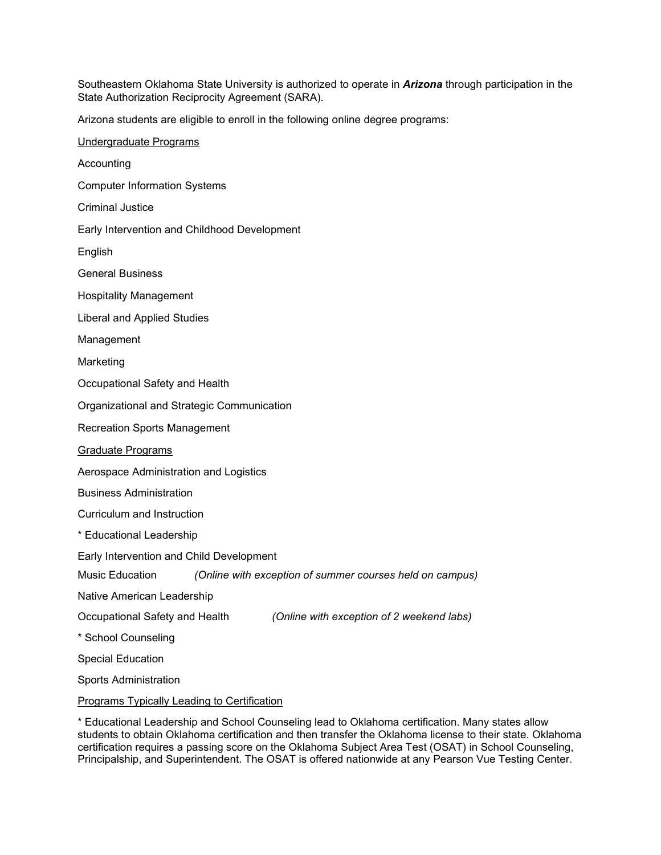Southeastern Oklahoma State University is authorized to operate in *Arizona* through participation in the State Authorization Reciprocity Agreement (SARA).

Arizona students are eligible to enroll in the following online degree programs:

| Undergraduate Programs                                                      |
|-----------------------------------------------------------------------------|
| Accounting                                                                  |
| <b>Computer Information Systems</b>                                         |
| <b>Criminal Justice</b>                                                     |
| Early Intervention and Childhood Development                                |
| English                                                                     |
| <b>General Business</b>                                                     |
| <b>Hospitality Management</b>                                               |
| Liberal and Applied Studies                                                 |
| Management                                                                  |
| Marketing                                                                   |
| Occupational Safety and Health                                              |
| Organizational and Strategic Communication                                  |
| <b>Recreation Sports Management</b>                                         |
| Graduate Programs                                                           |
| Aerospace Administration and Logistics                                      |
| <b>Business Administration</b>                                              |
| Curriculum and Instruction                                                  |
| * Educational Leadership                                                    |
| Early Intervention and Child Development                                    |
| Music Education<br>(Online with exception of summer courses held on campus) |
| Native American Leadership                                                  |
| Occupational Safety and Health<br>(Online with exception of 2 weekend labs) |
| * School Counseling                                                         |
| <b>Special Education</b>                                                    |
| <b>Sports Administration</b>                                                |
| <b>Programs Typically Leading to Certification</b>                          |

\* Educational Leadership and School Counseling lead to Oklahoma certification. Many states allow students to obtain Oklahoma certification and then transfer the Oklahoma license to their state. Oklahoma certification requires a passing score on the Oklahoma Subject Area Test (OSAT) in School Counseling, Principalship, and Superintendent. The OSAT is offered nationwide at any Pearson Vue Testing Center.